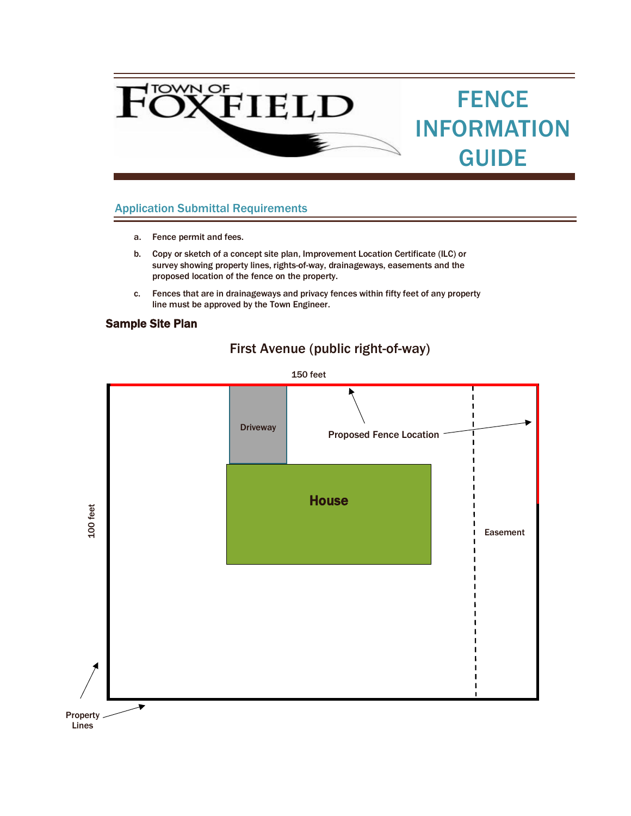

## Application Submittal Requirements

- a. Fence permit and fees.
- b. Copy or sketch of a concept site plan, Improvement Location Certificate (ILC) or survey showing property lines, rights-of-way, drainageways, easements and the proposed location of the fence on the property.
- c. Fences that are in drainageways and privacy fences within fifty feet of any property line must be approved by the Town Engineer.

## Sample Site Plan



## First Avenue (public right-of-way)